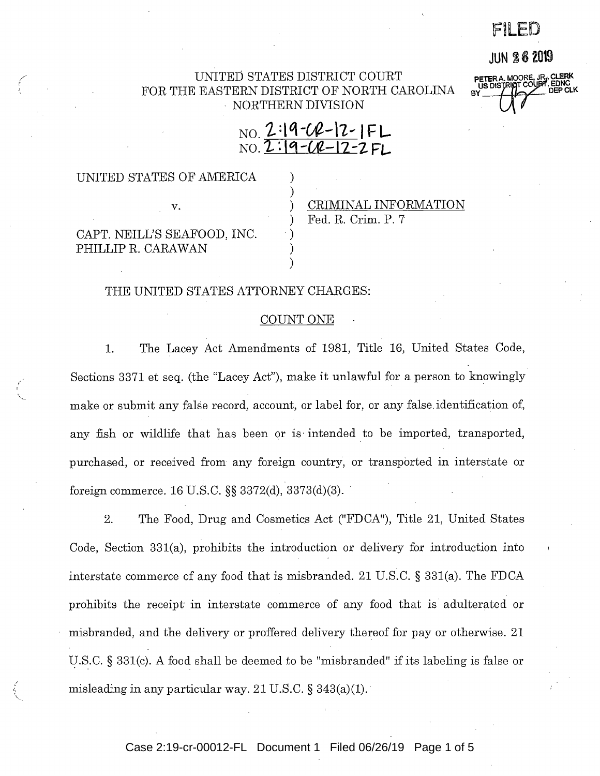F~LED

## **JUN 26 Z019**

**PETER A. MOORE, JR.**<br>US DISTRIAT COUPT

### UNITED STATES DISTRICT COURT FOR THE EASTERN DISTRICT OF NORTH CAROLINA - NORTHERN DIVISION

) )

 $\cdot$  ) ) )

# NO. **1. :t q -W-\i ... IF L**  N0.1.: **lq-Ul-11-Z FL.**

## UNITED STATES OF AMERICA

CAPT. NEILL'S SEAFOOD, INC. PHILLIP R. CARAWAN

v.

/

## ) CRIMINAL INFORMATION ) Fed. R. Crim. P. 7

#### THE UNITED STATES ATTORNEY CHARGES:

#### COUNT ONE

1. The Lacey Act Amendments of 1981, Title 16, United States Code, Sections 3371 et seq. (the "Lacey Act"), make it unlawful for a person to knowingly make or submit any false record, account, or label for, or any false.identification of, any fish or wildlife that has been or is intended to be imported, transported, purchased, or received from any foreign country, or transported in interstate or foreign commerce. 16 U.S.C. §§ 3372(d), 3373(d)(3). ·

2. The Food, Drug and Cosmetics Act ("FDCA"), Title 21, United States Code, Section 331(a), prohibits the introduction or delivery for introduction into interstate commerce of any food that is misbranded. 21 U.S.C. § 331(a). The FDCA prohibits the receipt in interstate commerce of any food that is adulterated or misbranded, and the delivery or proffered delivery thereof for pay or otherwise. 21 U.S.C. § 331(c). A food shall be deemed to be "misbranded" if its labeling is false or misleading in any particular way. 21 U.S.C.  $\S$  343(a)(1).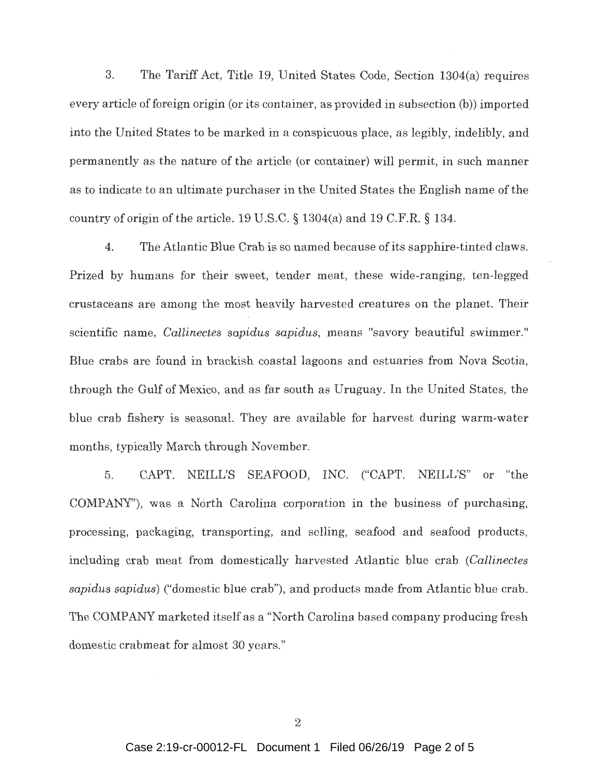3. The Tariff Act, Title 19, United States Code, Section 1304(a) requires every article of foreign origin (or its container, as provided in subsection (b)) imported into the United States to be marked in a conspicuous place, as legibly, indelibly, and permanently as the nature of the article (or container) will permit, in such manner as to indicate to an ultimate purchaser in the United States the English name of the country of origin of the article. 19 U.S.C. § 1304(a) and 19 C.F.R. § 134.

4. The Atlantic Blue Crab is so named because of its sapphire-tinted claws. Prized by humans for their sweet, tender meat, these wide-ranging, ten-legged crustaceans are among the most heavily harvested creatures on the planet. Their scientific name, *Callinectes sapidus sapidus,* means "savory beautiful swimmer." Blue crabs are found in brackish coastal lagoons and estuaries from Nova Scotia, through the Gulf of Mexico, and as far south as Uruguay. In the United States, the blue crab fishery is seasonal. They are available for harvest during warm-water months, typically March through November.

5. CAPT. NEILVS SEAFOOD, INC. ("CAPT. NEILL'S" or "the COMPANY"), was a North Carolina corporation in the business of purchasing, processing, packaging, transporting, and selling, seafood and seafood products, including crab meat from domestically harvested Atlantic blue crab *(Callinectes sapidus sapidus)* ("domestic blue crab"), and products made from Atlantic blue crab. The COMPANY marketed itself as a "North Carolina based company producing fresh domestic crabmeat for almost 30 years."

2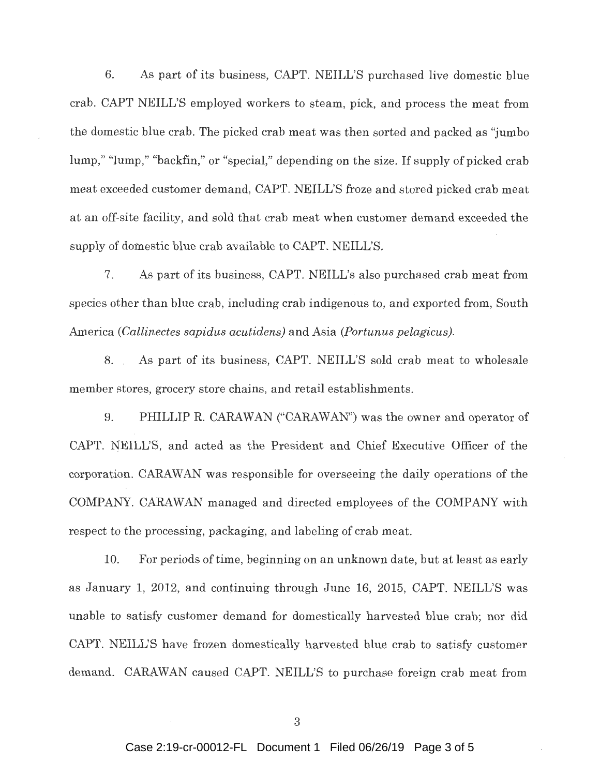6. As part of its business, CAPT. NEILL'S purchased live domestic blue crab. CAPT NEILL'S employed workers to steam, pick, and process the meat from the domestic blue crab. The picked crab meat was then sorted and packed as "jumbo lump," "lump," "backfin,'' or "special," depending on the size. If supply of picked crab meat exceeded customer demand, CAPT. NEILL'S froze and stored picked crab meat at an off-site facility, and sold that crab meat when customer demand exceeded the supply of domestic blue crab available to CAPT. NEILL'S.

7. As part of its business, CAPT. NEILL's also purchased crab meat from species other 'than blue crab, including crab indigenous to, and exported from, South America *(Callinectes sapidus acutidens)* and Asia *(Portunus pelagicus).* 

8. As part of its business, CAPT. NEILL'S sold crab meat to wholesale member stores, grocery store chains, and retail establishments.

9. PHILLIP R. CARAWAN ("CARAWAN") was the owner and operator of CAPT. NEILL'S, and acted as the President and Chief Executive Officer of the corporation. CARA WAN was responsible for overseeing the daily operations of the COMPANY. CARAWAN managed and directed employees of the COMPANY with respect to the processing, packaging, and labeling of crab meat.

10. For periods of time, beginning on an unknown date, but at least as early as January 1, 2012, and continuing through June 16, 2015, CAPT. NEILL'S was unable to satisfy customer demand for domestically harvested blue crab; nor did CAPT. NEILL'S have frozen domestically harvested blue crab to satisfy customer demand. CARAWAN caused CAPT. NEILL'S to purchase foreign crab meat from

3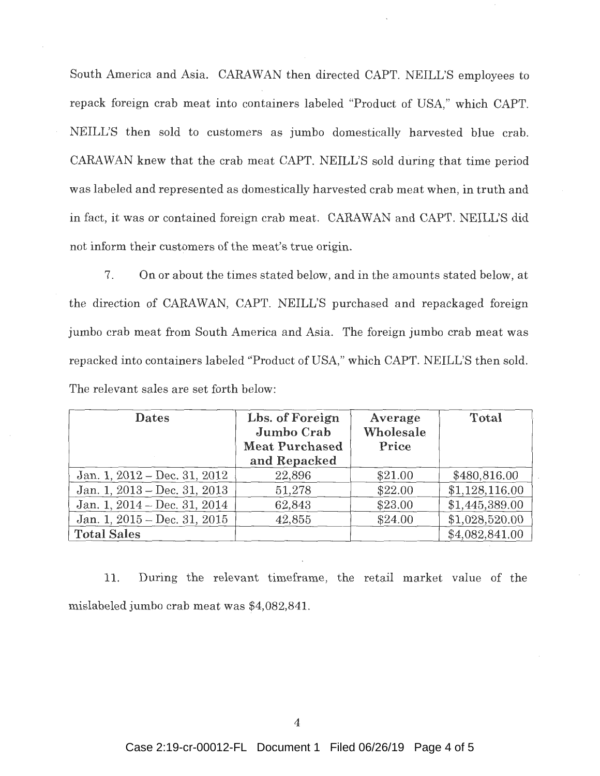South America and Asia. CARAWAN then directed CAPT. NEILL'S employees to repack foreign crab meat into containers labeled "Product of USA," which CAPT. NEILL'S then sold to customers as jumbo domestically harvested blue crab. CARAWAN knew that the crab meat CAPT. NEILL'S sold during that time period was labeled and represented as domestically harvested crab meat when, in truth and in fact, it was or contained foreign crab meat. CARAWAN and CAPT. NEILL'S did not inform their customers of the meat's true origin.

7. On or about the times stated below, and in the amounts stated below, at the direction of CARAWAN, CAPT. NEILL'S purchased and repackaged foreign jumbo crab meat from South America and Asia. The foreign jumbo crab meat was repacked into containers labeled "Product of USA," which CAPT. NEILL'S then sold. The relevant sales are set forth below:

| <b>Dates</b>                   | Lbs. of Foreign<br>Jumbo Crab<br><b>Meat Purchased</b> | Average<br>Wholesale<br>Price | Total          |
|--------------------------------|--------------------------------------------------------|-------------------------------|----------------|
|                                | and Repacked                                           |                               |                |
| Jan. 1, $2012 - Dec. 31, 2012$ | 22,896                                                 | \$21.00                       | \$480,816.00   |
| Jan. 1, $2013 - Dec. 31, 2013$ | 51,278                                                 | \$22.00                       | \$1,128,116.00 |
| Jan. 1, $2014 - Dec. 31, 2014$ | 62,843                                                 | \$23.00                       | \$1,445,389.00 |
| Jan. 1, $2015 - Dec. 31, 2015$ | 42,855                                                 | \$24.00                       | \$1,028,520.00 |
| <b>Total Sales</b>             |                                                        |                               | \$4,082,841.00 |

11. During the relevant timeframe, the retail market value of the mislabeled jumbo crab meat was \$4,082,841.